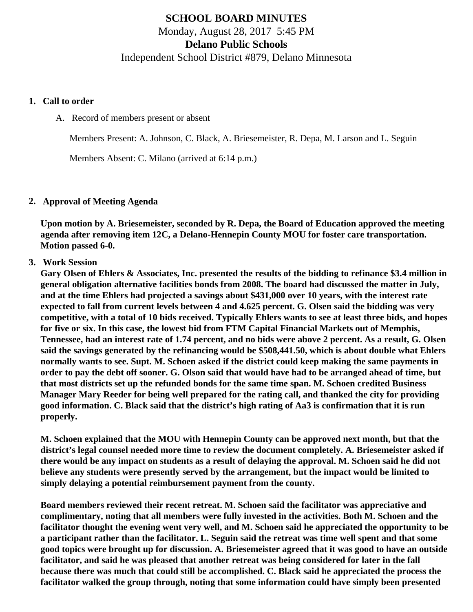# **SCHOOL BOARD MINUTES** Monday, August 28, 2017 5:45 PM **Delano Public Schools**

Independent School District #879, Delano Minnesota

#### **1. Call to order**

A. Record of members present or absent

Members Present: A. Johnson, C. Black, A. Briesemeister, R. Depa, M. Larson and L. Seguin

Members Absent: C. Milano (arrived at 6:14 p.m.)

### **2. Approval of Meeting Agenda**

**Upon motion by A. Briesemeister, seconded by R. Depa, the Board of Education approved the meeting agenda after removing item 12C, a Delano-Hennepin County MOU for foster care transportation. Motion passed 6-0.**

### **3. Work Session**

**Gary Olsen of Ehlers & Associates, Inc. presented the results of the bidding to refinance \$3.4 million in general obligation alternative facilities bonds from 2008. The board had discussed the matter in July, and at the time Ehlers had projected a savings about \$431,000 over 10 years, with the interest rate expected to fall from current levels between 4 and 4.625 percent. G. Olsen said the bidding was very competitive, with a total of 10 bids received. Typically Ehlers wants to see at least three bids, and hopes for five or six. In this case, the lowest bid from FTM Capital Financial Markets out of Memphis, Tennessee, had an interest rate of 1.74 percent, and no bids were above 2 percent. As a result, G. Olsen said the savings generated by the refinancing would be \$508,441.50, which is about double what Ehlers normally wants to see. Supt. M. Schoen asked if the district could keep making the same payments in order to pay the debt off sooner. G. Olson said that would have had to be arranged ahead of time, but that most districts set up the refunded bonds for the same time span. M. Schoen credited Business Manager Mary Reeder for being well prepared for the rating call, and thanked the city for providing good information. C. Black said that the district's high rating of Aa3 is confirmation that it is run properly.**

**M. Schoen explained that the MOU with Hennepin County can be approved next month, but that the district's legal counsel needed more time to review the document completely. A. Briesemeister asked if there would be any impact on students as a result of delaying the approval. M. Schoen said he did not believe any students were presently served by the arrangement, but the impact would be limited to simply delaying a potential reimbursement payment from the county.**

**Board members reviewed their recent retreat. M. Schoen said the facilitator was appreciative and complimentary, noting that all members were fully invested in the activities. Both M. Schoen and the facilitator thought the evening went very well, and M. Schoen said he appreciated the opportunity to be a participant rather than the facilitator. L. Seguin said the retreat was time well spent and that some good topics were brought up for discussion. A. Briesemeister agreed that it was good to have an outside facilitator, and said he was pleased that another retreat was being considered for later in the fall because there was much that could still be accomplished. C. Black said he appreciated the process the facilitator walked the group through, noting that some information could have simply been presented**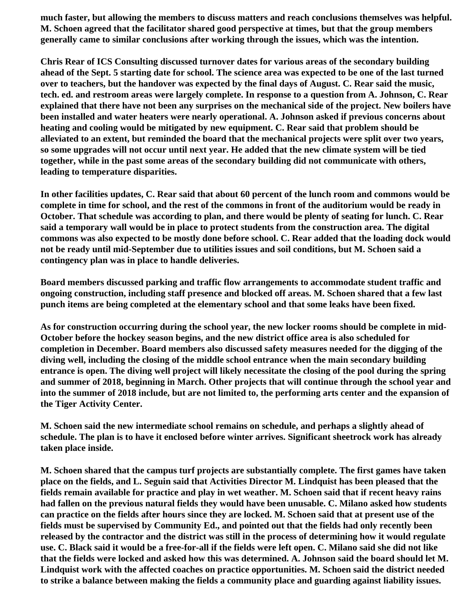**much faster, but allowing the members to discuss matters and reach conclusions themselves was helpful. M. Schoen agreed that the facilitator shared good perspective at times, but that the group members generally came to similar conclusions after working through the issues, which was the intention.**

**Chris Rear of ICS Consulting discussed turnover dates for various areas of the secondary building ahead of the Sept. 5 starting date for school. The science area was expected to be one of the last turned over to teachers, but the handover was expected by the final days of August. C. Rear said the music, tech. ed. and restroom areas were largely complete. In response to a question from A. Johnson, C. Rear explained that there have not been any surprises on the mechanical side of the project. New boilers have been installed and water heaters were nearly operational. A. Johnson asked if previous concerns about heating and cooling would be mitigated by new equipment. C. Rear said that problem should be alleviated to an extent, but reminded the board that the mechanical projects were split over two years, so some upgrades will not occur until next year. He added that the new climate system will be tied together, while in the past some areas of the secondary building did not communicate with others, leading to temperature disparities.**

**In other facilities updates, C. Rear said that about 60 percent of the lunch room and commons would be complete in time for school, and the rest of the commons in front of the auditorium would be ready in October. That schedule was according to plan, and there would be plenty of seating for lunch. C. Rear said a temporary wall would be in place to protect students from the construction area. The digital commons was also expected to be mostly done before school. C. Rear added that the loading dock would not be ready until mid-September due to utilities issues and soil conditions, but M. Schoen said a contingency plan was in place to handle deliveries.**

**Board members discussed parking and traffic flow arrangements to accommodate student traffic and ongoing construction, including staff presence and blocked off areas. M. Schoen shared that a few last punch items are being completed at the elementary school and that some leaks have been fixed.**

**As for construction occurring during the school year, the new locker rooms should be complete in mid-October before the hockey season begins, and the new district office area is also scheduled for completion in December. Board members also discussed safety measures needed for the digging of the diving well, including the closing of the middle school entrance when the main secondary building entrance is open. The diving well project will likely necessitate the closing of the pool during the spring and summer of 2018, beginning in March. Other projects that will continue through the school year and into the summer of 2018 include, but are not limited to, the performing arts center and the expansion of the Tiger Activity Center.**

**M. Schoen said the new intermediate school remains on schedule, and perhaps a slightly ahead of schedule. The plan is to have it enclosed before winter arrives. Significant sheetrock work has already taken place inside.**

**M. Schoen shared that the campus turf projects are substantially complete. The first games have taken place on the fields, and L. Seguin said that Activities Director M. Lindquist has been pleased that the fields remain available for practice and play in wet weather. M. Schoen said that if recent heavy rains had fallen on the previous natural fields they would have been unusable. C. Milano asked how students can practice on the fields after hours since they are locked. M. Schoen said that at present use of the fields must be supervised by Community Ed., and pointed out that the fields had only recently been released by the contractor and the district was still in the process of determining how it would regulate use. C. Black said it would be a free-for-all if the fields were left open. C. Milano said she did not like that the fields were locked and asked how this was determined. A. Johnson said the board should let M. Lindquist work with the affected coaches on practice opportunities. M. Schoen said the district needed to strike a balance between making the fields a community place and guarding against liability issues.**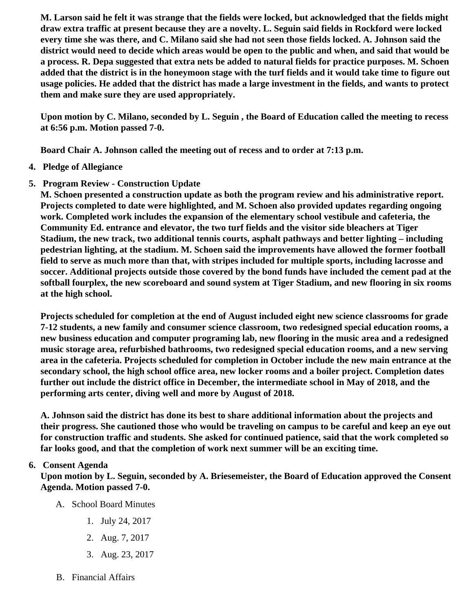M. Larson said he felt it was strange that the fields were locked, but acknowledged that the fields might draw extra traffic at present because they are a novelty. L. Seguin said fields in Rockford were locked every time she was there, and C. Milano said she had not seen those fields locked. A. Johnson said the district would need to decide which areas would be open to the public and when, and said that would be a process. R. Depa suggested that extra nets be added to natural fields for practice purposes. M. Schoen added that the district is in the honeymoon stage with the turf fields and it would take time to figure out usage policies. He added that the district has made a large investment in the fields, and wants to protect them and make sure they are used appropriately.

Upon motion by C. Milano, seconded by L. Seguin , the Board of Education called the meeting to recess at 6:56 p.m. Motion passed 7-0.

Board Chair A. Johnson called the meeting out of recess and to order at 7:13 p.m.

- 4. Pledge of Allegiance
- 5. Program Review Construction Update

M. Schoen presented a construction update as both the program review and his administrative report. Projects completed to date were highlighted, and M. Schoen also provided updates regarding ongoing work. Completed work includes the expansion of the elementary school vestibule and cafeteria, the Community Ed. entrance and elevator, the two turf fields and the visitor side bleachers at Tiger Stadium, the new track, two additional tennis courts, asphalt pathways and better lighting – including pedestrian lighting, at the stadium. M. Schoen said the improvements have allowed the former football field to serve as much more than that, with stripes included for multiple sports, including lacrosse and soccer. Additional projects outside those covered by the bond funds have included the cement pad at the softball fourplex, the new scoreboard and sound system at Tiger Stadium, and new flooring in six rooms at the high school.

Projects scheduled for completion at the end of August included eight new science classrooms for grade 7-12 students, a new family and consumer science classroom, two redesigned special education rooms, a new business education and computer programing lab, new flooring in the music area and a redesigned music storage area, refurbished bathrooms, two redesigned special education rooms, and a new serving area in the cafeteria. Projects scheduled for completion in October include the new main entrance at the secondary school, the high school office area, new locker rooms and a boiler project. Completion dates further out include the district office in December, the intermediate school in May of 2018, and the performing arts center, diving well and more by August of 2018.

A. Johnson said the district has done its best to share additional information about the projects and their progress. She cautioned those who would be traveling on campus to be careful and keep an eye out for construction traffic and students. She asked for continued patience, said that the work completed so far looks good, and that the completion of work next summer will be an exciting time.

### 6. Consent Agenda

Upon motion by L. Seguin, seconded by A. Briesemeister, the Board of Education approved the Consent Agenda. Motion passed 7-0.

- A. School Board Minutes
	- 1. [July 24, 2017](http://www.delano.k12.mn.us/pb/app/agenda/minutes/156)
	- 2. [Aug. 7, 2017](http://www.delano.k12.mn.us/docs/district/2017_18/School_Board_Items/August_2017/Special_Meeting_Minutes_Aug._7.pdf)
	- 3. [Aug. 23, 2017](http://www.delano.k12.mn.us/docs/district/2017_18/School_Board_Items/August_2017/Special_Meeting_Minutes_Aug._23.pdf)
- B. Financial Affairs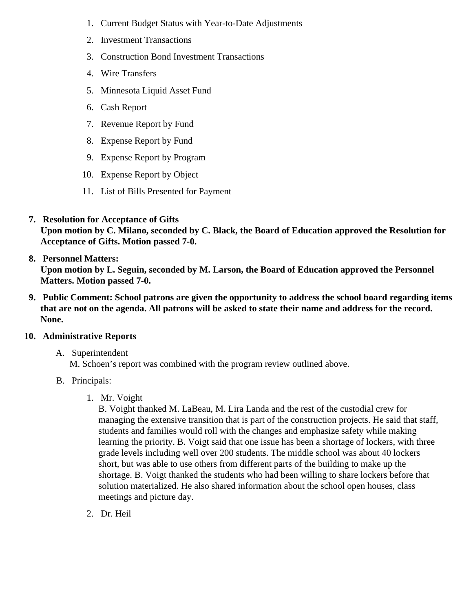- 1. [Current Budget Status with Year-to-Date Adjustm](/docs/district/Business_Office/FY18_Budget_Report_Aug.pdf)ents
- 2. [Investment Transactio](/docs/district/Business_Office/July_2017_Investment_Schedule.pdf)ns
- 3. [Construction Bond Investment Transacti](/docs/district/Business_Office/Bond_Investment_schedule_July_17.pdf)ons
- 4. [Wire Transfer](/docs/district/Business_Office/July_2017_Wire_Transfers.pdf)s
- 5. [Minnesota Liquid Asset Fun](/docs/district/Business_Office/July_2017_LAF_(2).pdf)d
- 6. [Cash Repo](/docs/district/Business_Office/July_2017_Cash_Report.pdf)rt
- 7. [Revenue Report by Fu](/docs/district/Business_Office/SCHOOL_BOARD_REPORTS_-_REVENUE_BY_FUND_TOTAL__(Date__6_2018).pdf)nd
- 8. [Expense Report by Fu](/docs/district/Business_Office/SCHOOL_BOARD_REPORTS_-_EXP_BY_FUND_TOTAL__(Date__6_2018).pdf)nd
- 9. [Expense Report by Progra](/docs/district/Business_Office/SCHOOL_BOARD_REPORTS_-_EXPENDITURES_BY_PROGRAM__(Date__6_2018).pdf)m
- 10. [Expense Report by Obje](/docs/district/Business_Office/SCHOOL_BOARD_REPORTS_-_EXPENDITURES_BY_OBJECT__(Date__6_2018).pdf)ct
- 11. [List of Bills Presented for Payme](/docs/district/Business_Office/Bills_Paid.pdf)nt
- 7. [Resolution for Acceptance of Gifts](/docs/district/Business_Office/Resolution_for_Acceptance_of_Gifts_8.28.17.pdf) Upon motion by C. Milano, seconded by C. Black, the Board of Education approved the Resolution for Acceptance of Gifts. Motion passed 7-0.
- 8. [Personnel Matters:](/docs/district/Business_Office/08.28.17.pdf) Upon motion by L. Seguin, seconded by M. Larson, the Board of Education approved the Personnel Matters. Motion passed 7-0.
- 9. Public Comment: School patrons are given the opportunity to address the school board regarding items that are not on the agenda. All patrons will be asked to state their name and address for the record. None.
- 10. Administrative Reports
	- A. Superintendent M. Schoen's report was combined with the program review outlined above.
	- B. Principals:
		- 1. Mr. Voight

B. Voight thanked M. LaBeau, M. Lira Landa and the rest of the custodial crew for managing the extensive transition that is part of the construction projects. He said that staff, students and families would roll with the changes and emphasize safety while making learning the priority. B. Voigt said that one issue has been a shortage of lockers, with three grade levels including well over 200 students. The middle school was about 40 lockers short, but was able to use others from different parts of the building to make up the shortage. B. Voigt thanked the students who had been willing to share lockers before that solution materialized. He also shared information about the school open houses, class meetings and picture day.

2. Dr. Heil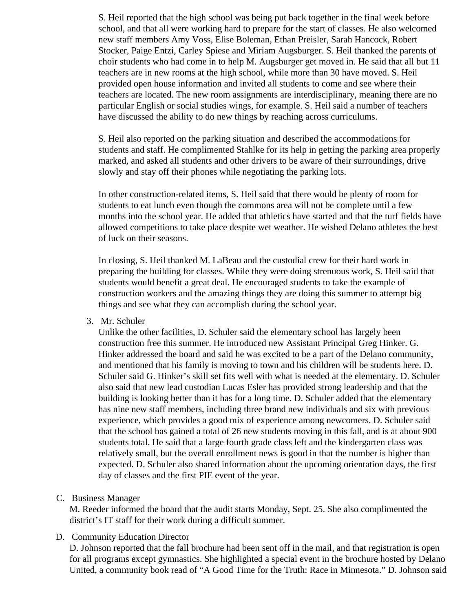S. Heil reported that the high school was being put back together in the final week before school, and that all were working hard to prepare for the start of classes. He also welcomed new staff members Amy Voss, Elise Boleman, Ethan Preisler, Sarah Hancock, Robert Stocker, Paige Entzi, Carley Spiese and Miriam Augsburger. S. Heil thanked the parents of choir students who had come in to help M. Augsburger get moved in. He said that all but 11 teachers are in new rooms at the high school, while more than 30 have moved. S. Heil provided open house information and invited all students to come and see where their teachers are located. The new room assignments are interdisciplinary, meaning there are no particular English or social studies wings, for example. S. Heil said a number of teachers have discussed the ability to do new things by reaching across curriculums.

S. Heil also reported on the parking situation and described the accommodations for students and staff. He complimented Stahlke for its help in getting the parking area properly marked, and asked all students and other drivers to be aware of their surroundings, drive slowly and stay off their phones while negotiating the parking lots.

In other construction-related items, S. Heil said that there would be plenty of room for students to eat lunch even though the commons area will not be complete until a few months into the school year. He added that athletics have started and that the turf fields have allowed competitions to take place despite wet weather. He wished Delano athletes the best of luck on their seasons.

In closing, S. Heil thanked M. LaBeau and the custodial crew for their hard work in preparing the building for classes. While they were doing strenuous work, S. Heil said that students would benefit a great deal. He encouraged students to take the example of construction workers and the amazing things they are doing this summer to attempt big things and see what they can accomplish during the school year.

3. Mr. Schuler

Unlike the other facilities, D. Schuler said the elementary school has largely been construction free this summer. He introduced new Assistant Principal Greg Hinker. G. Hinker addressed the board and said he was excited to be a part of the Delano community, and mentioned that his family is moving to town and his children will be students here. D. Schuler said G. Hinker's skill set fits well with what is needed at the elementary. D. Schuler also said that new lead custodian Lucas Esler has provided strong leadership and that the building is looking better than it has for a long time. D. Schuler added that the elementary has nine new staff members, including three brand new individuals and six with previous experience, which provides a good mix of experience among newcomers. D. Schuler said that the school has gained a total of 26 new students moving in this fall, and is at about 900 students total. He said that a large fourth grade class left and the kindergarten class was relatively small, but the overall enrollment news is good in that the number is higher than expected. D. Schuler also shared information about the upcoming orientation days, the first day of classes and the first PIE event of the year.

C. Business Manager

M. Reeder informed the board that the audit starts Monday, Sept. 25. She also complimented the district's IT staff for their work during a difficult summer.

D. Community Education Director

D. Johnson reported that the fall brochure had been sent off in the mail, and that registration is open for all programs except gymnastics. She highlighted a special event in the brochure hosted by Delano United, a community book read of "A Good Time for the Truth: Race in Minnesota." D. Johnson said